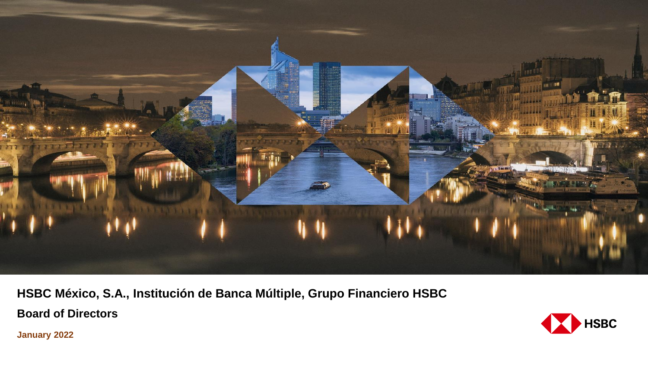

**HSBC México, S.A., Institución de Banca Múltiple, Grupo Financiero HSBC**

**Board of Directors**



**January 2022**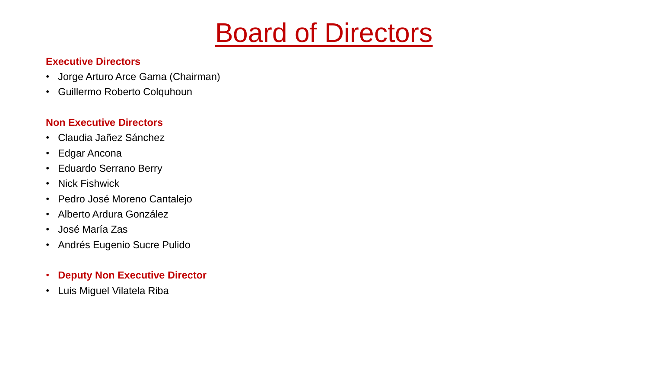# Board of Directors

#### **Executive Directors**

- Jorge Arturo Arce Gama (Chairman)
- Guillermo Roberto Colquhoun

#### **Non Executive Directors**

- Claudia Jañez Sánchez
- Edgar Ancona
- Eduardo Serrano Berry
- Nick Fishwick
- Pedro José Moreno Cantalejo
- Alberto Ardura González
- José María Zas
- Andrés Eugenio Sucre Pulido
- **Deputy Non Executive Director**
- Luis Miguel Vilatela Riba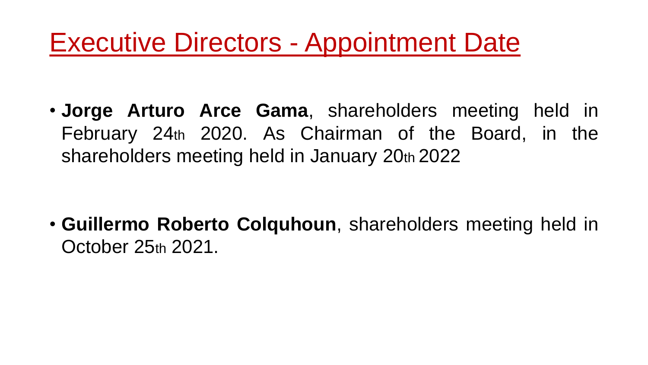# Executive Directors - Appointment Date

• **Jorge Arturo Arce Gama**, shareholders meeting held in February 24th 2020. As Chairman of the Board, in the shareholders meeting held in January 20th 2022

• **Guillermo Roberto Colquhoun**, shareholders meeting held in October 25th 2021.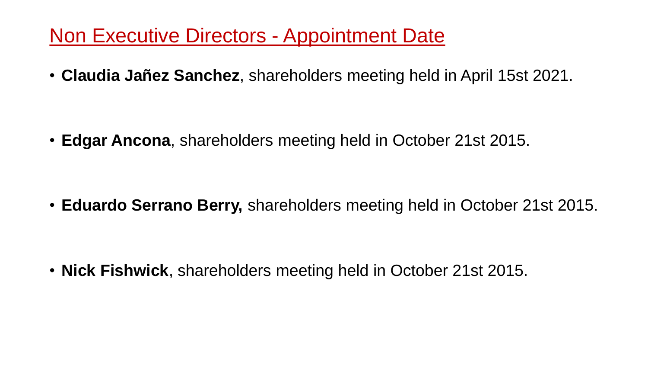## Non Executive Directors - Appointment Date

• **Claudia Jañez Sanchez**, shareholders meeting held in April 15st 2021.

• **Edgar Ancona**, shareholders meeting held in October 21st 2015.

• **Eduardo Serrano Berry,** shareholders meeting held in October 21st 2015.

• **Nick Fishwick**, shareholders meeting held in October 21st 2015.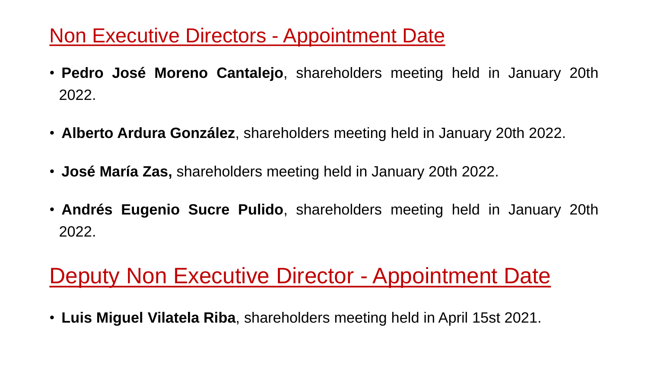## Non Executive Directors - Appointment Date

- **Pedro José Moreno Cantalejo**, shareholders meeting held in January 20th 2022.
- **Alberto Ardura González**, shareholders meeting held in January 20th 2022.
- **José María Zas,** shareholders meeting held in January 20th 2022.
- **Andrés Eugenio Sucre Pulido**, shareholders meeting held in January 20th 2022.

# Deputy Non Executive Director - Appointment Date

• **Luis Miguel Vilatela Riba**, shareholders meeting held in April 15st 2021.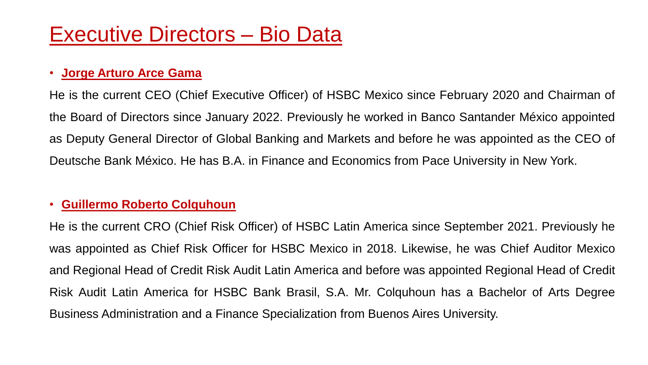# Executive Directors – Bio Data

### • **Jorge Arturo Arce Gama**

He is the current CEO (Chief Executive Officer) of HSBC Mexico since February 2020 and Chairman of the Board of Directors since January 2022. Previously he worked in Banco Santander México appointed as Deputy General Director of Global Banking and Markets and before he was appointed as the CEO of Deutsche Bank México. He has B.A. in Finance and Economics from Pace University in New York.

### • **Guillermo Roberto Colquhoun**

He is the current CRO (Chief Risk Officer) of HSBC Latin America since September 2021. Previously he was appointed as Chief Risk Officer for HSBC Mexico in 2018. Likewise, he was Chief Auditor Mexico and Regional Head of Credit Risk Audit Latin America and before was appointed Regional Head of Credit Risk Audit Latin America for HSBC Bank Brasil, S.A. Mr. Colquhoun has a Bachelor of Arts Degree Business Administration and a Finance Specialization from Buenos Aires University.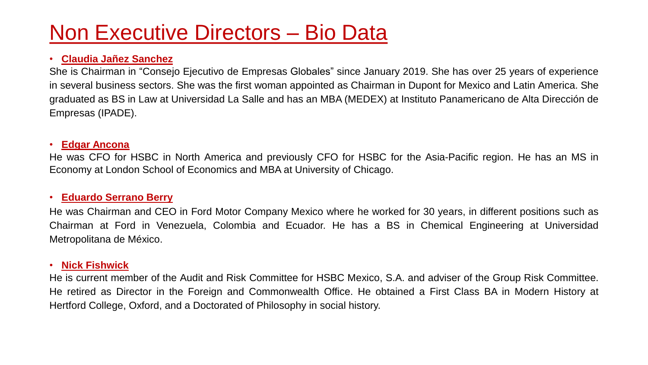# Non Executive Directors – Bio Data

#### • **Claudia Jañez Sanchez**

She is Chairman in "Consejo Ejecutivo de Empresas Globales" since January 2019. She has over 25 years of experience in several business sectors. She was the first woman appointed as Chairman in Dupont for Mexico and Latin America. She graduated as BS in Law at Universidad La Salle and has an MBA (MEDEX) at Instituto Panamericano de Alta Dirección de Empresas (IPADE).

#### • **Edgar Ancona**

He was CFO for HSBC in North America and previously CFO for HSBC for the Asia-Pacific region. He has an MS in Economy at London School of Economics and MBA at University of Chicago.

#### • **Eduardo Serrano Berry**

He was Chairman and CEO in Ford Motor Company Mexico where he worked for 30 years, in different positions such as Chairman at Ford in Venezuela, Colombia and Ecuador. He has a BS in Chemical Engineering at Universidad Metropolitana de México.

#### • **Nick Fishwick**

He is current member of the Audit and Risk Committee for HSBC Mexico, S.A. and adviser of the Group Risk Committee. He retired as Director in the Foreign and Commonwealth Office. He obtained a First Class BA in Modern History at Hertford College, Oxford, and a Doctorated of Philosophy in social history.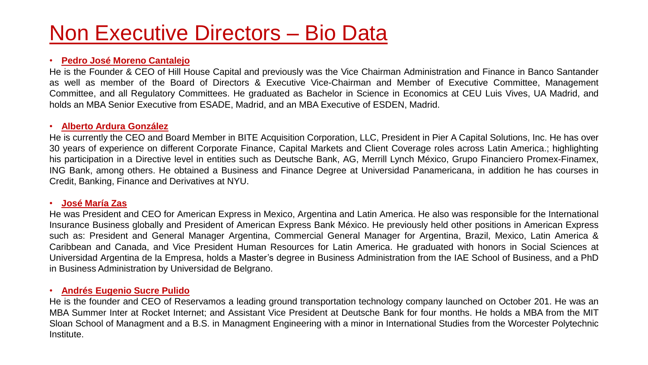# Non Executive Directors – Bio Data

#### • **Pedro José Moreno Cantalejo**

He is the Founder & CEO of Hill House Capital and previously was the Vice Chairman Administration and Finance in Banco Santander as well as member of the Board of Directors & Executive Vice-Chairman and Member of Executive Committee, Management Committee, and all Regulatory Committees. He graduated as Bachelor in Science in Economics at CEU Luis Vives, UA Madrid, and holds an MBA Senior Executive from ESADE, Madrid, and an MBA Executive of ESDEN, Madrid.

#### • **Alberto Ardura González**

He is currently the CEO and Board Member in BITE Acquisition Corporation, LLC, President in Pier A Capital Solutions, Inc. He has over 30 years of experience on different Corporate Finance, Capital Markets and Client Coverage roles across Latin America.; highlighting his participation in a Directive level in entities such as Deutsche Bank, AG, Merrill Lynch México, Grupo Financiero Promex-Finamex, ING Bank, among others. He obtained a Business and Finance Degree at Universidad Panamericana, in addition he has courses in Credit, Banking, Finance and Derivatives at NYU.

#### • **José María Zas**

He was President and CEO for American Express in Mexico, Argentina and Latin America. He also was responsible for the International Insurance Business globally and President of American Express Bank México. He previously held other positions in American Express such as: President and General Manager Argentina, Commercial General Manager for Argentina, Brazil, Mexico, Latin America & Caribbean and Canada, and Vice President Human Resources for Latin America. He graduated with honors in Social Sciences at Universidad Argentina de la Empresa, holds a Master's degree in Business Administration from the IAE School of Business, and a PhD in Business Administration by Universidad de Belgrano.

#### • **Andrés Eugenio Sucre Pulido**

He is the founder and CEO of Reservamos a leading ground transportation technology company launched on October 201. He was an MBA Summer Inter at Rocket Internet; and Assistant Vice President at Deutsche Bank for four months. He holds a MBA from the MIT Sloan School of Managment and a B.S. in Managment Engineering with a minor in International Studies from the Worcester Polytechnic Institute.